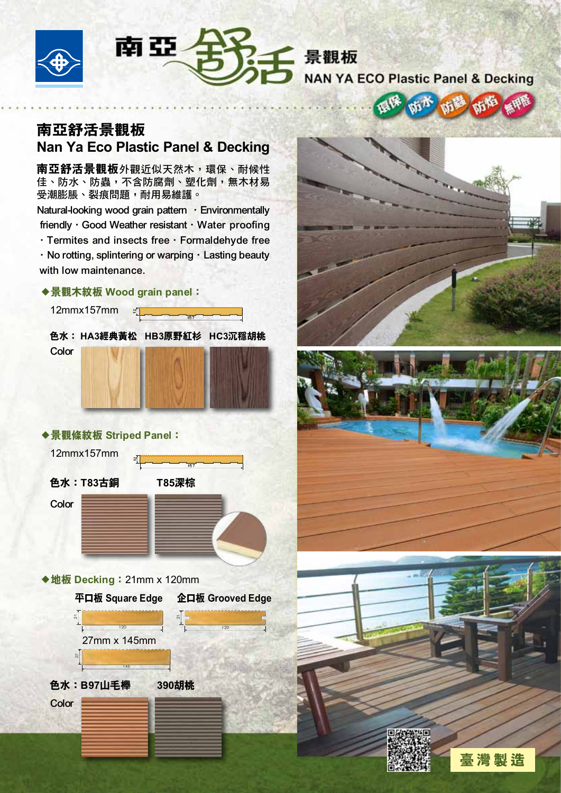



**NAN YA ECO Plastic Panel & Decking** 

 $\mathbf{m}$ 

小绿

aß

## 南亞舒活景觀板 Nan Ya Eco Plastic Panel & Decking

南亞舒活景觀板外觀近似天然木,環保、耐候性 佳、防水、防蟲,不含防腐劑、塑化劑,無木材易 受潮膨脹、裂痕問題,耐用易維護。

Natural-looking wood grain pattern · Environmentally friendly · Good Weather resistant · Water proofing  $\cdot$  Termites and insects free  $\cdot$  Formaldehyde free

. No rotting, splintering or warping. Lasting beauty with low maintenance.

#### ◆景觀木紋板 Wood grain panel:

 $\mathbb{E}$ 

12mmx157mm

 色水: HA3經典黃松 HB3原野紅杉 HC3沉穩胡桃 **Color** 

157

### ◆景觀條紋板 Striped Panel:

 $\frac{2}{1}$ 

12mmx157mm

**Color** 



◆地板 Decking: 21mm x 120mm











臺灣製造